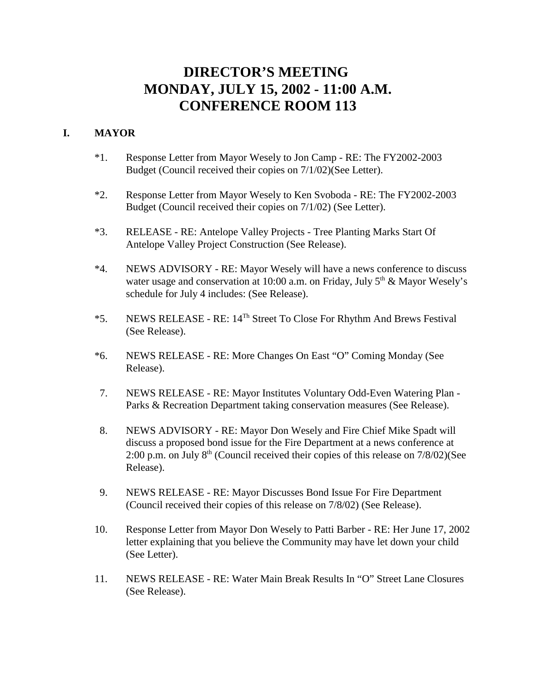# **DIRECTOR'S MEETING MONDAY, JULY 15, 2002 - 11:00 A.M. CONFERENCE ROOM 113**

# **I. MAYOR**

- \*1. Response Letter from Mayor Wesely to Jon Camp RE: The FY2002-2003 Budget (Council received their copies on 7/1/02)(See Letter).
- \*2. Response Letter from Mayor Wesely to Ken Svoboda RE: The FY2002-2003 Budget (Council received their copies on 7/1/02) (See Letter).
- \*3. RELEASE RE: Antelope Valley Projects Tree Planting Marks Start Of Antelope Valley Project Construction (See Release).
- \*4. NEWS ADVISORY RE: Mayor Wesely will have a news conference to discuss water usage and conservation at 10:00 a.m. on Friday, July  $5<sup>th</sup>$  & Mayor Wesely's schedule for July 4 includes: (See Release).
- \*5. NEWS RELEASE RE: 14Th Street To Close For Rhythm And Brews Festival (See Release).
- \*6. NEWS RELEASE RE: More Changes On East "O" Coming Monday (See Release).
- 7. NEWS RELEASE RE: Mayor Institutes Voluntary Odd-Even Watering Plan Parks & Recreation Department taking conservation measures (See Release).
- 8. NEWS ADVISORY RE: Mayor Don Wesely and Fire Chief Mike Spadt will discuss a proposed bond issue for the Fire Department at a news conference at 2:00 p.m. on July  $8<sup>th</sup>$  (Council received their copies of this release on  $7/8/02$ )(See Release).
- 9. NEWS RELEASE RE: Mayor Discusses Bond Issue For Fire Department (Council received their copies of this release on 7/8/02) (See Release).
- 10. Response Letter from Mayor Don Wesely to Patti Barber RE: Her June 17, 2002 letter explaining that you believe the Community may have let down your child (See Letter).
- 11. NEWS RELEASE RE: Water Main Break Results In "O" Street Lane Closures (See Release).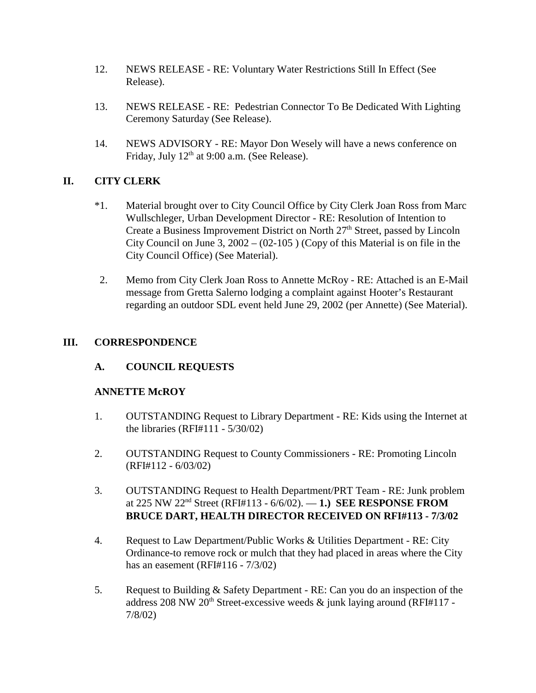- 12. NEWS RELEASE RE: Voluntary Water Restrictions Still In Effect (See Release).
- 13. NEWS RELEASE RE: Pedestrian Connector To Be Dedicated With Lighting Ceremony Saturday (See Release).
- 14. NEWS ADVISORY RE: Mayor Don Wesely will have a news conference on Friday, July  $12<sup>th</sup>$  at 9:00 a.m. (See Release).

# **II. CITY CLERK**

- \*1. Material brought over to City Council Office by City Clerk Joan Ross from Marc Wullschleger, Urban Development Director - RE: Resolution of Intention to Create a Business Improvement District on North  $27<sup>th</sup>$  Street, passed by Lincoln City Council on June 3,  $2002 - (02-105)$  (Copy of this Material is on file in the City Council Office) (See Material).
- 2. Memo from City Clerk Joan Ross to Annette McRoy RE: Attached is an E-Mail message from Gretta Salerno lodging a complaint against Hooter's Restaurant regarding an outdoor SDL event held June 29, 2002 (per Annette) (See Material).

# **III. CORRESPONDENCE**

# **A. COUNCIL REQUESTS**

# **ANNETTE McROY**

- 1. OUTSTANDING Request to Library Department RE: Kids using the Internet at the libraries (RFI#111 - 5/30/02)
- 2. OUTSTANDING Request to County Commissioners RE: Promoting Lincoln (RFI#112 - 6/03/02)
- 3. OUTSTANDING Request to Health Department/PRT Team RE: Junk problem at 225 NW 22nd Street (RFI#113 - 6/6/02). — **1.) SEE RESPONSE FROM BRUCE DART, HEALTH DIRECTOR RECEIVED ON RFI#113 - 7/3/02**
- 4. Request to Law Department/Public Works & Utilities Department RE: City Ordinance-to remove rock or mulch that they had placed in areas where the City has an easement (RFI#116 - 7/3/02)
- 5. Request to Building & Safety Department RE: Can you do an inspection of the address 208 NW 20<sup>th</sup> Street-excessive weeds  $\&$  junk laying around (RFI#117 -7/8/02)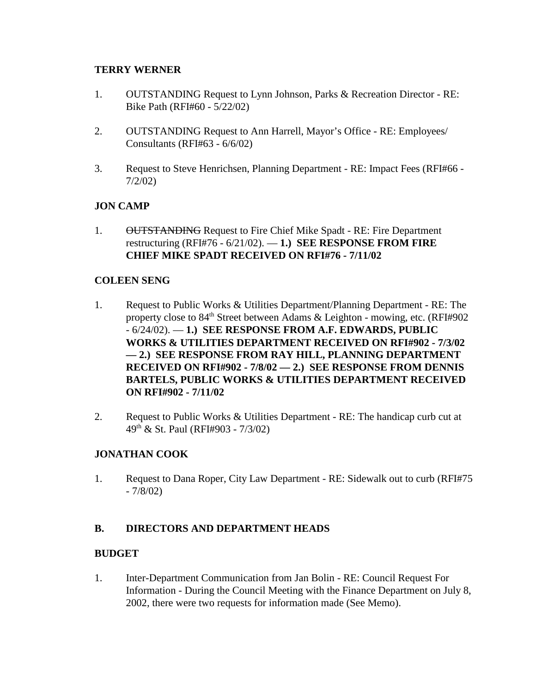# **TERRY WERNER**

- 1. OUTSTANDING Request to Lynn Johnson, Parks & Recreation Director RE: Bike Path (RFI#60 - 5/22/02)
- 2. OUTSTANDING Request to Ann Harrell, Mayor's Office RE: Employees/ Consultants (RFI#63 - 6/6/02)
- 3. Request to Steve Henrichsen, Planning Department RE: Impact Fees (RFI#66 7/2/02)

# **JON CAMP**

1. OUTSTANDING Request to Fire Chief Mike Spadt - RE: Fire Department restructuring (RFI#76 - 6/21/02). — **1.) SEE RESPONSE FROM FIRE CHIEF MIKE SPADT RECEIVED ON RFI#76 - 7/11/02**

## **COLEEN SENG**

- 1. Request to Public Works & Utilities Department/Planning Department RE: The property close to  $84<sup>th</sup>$  Street between Adams & Leighton - mowing, etc. (RFI#902) - 6/24/02). — **1.) SEE RESPONSE FROM A.F. EDWARDS, PUBLIC WORKS & UTILITIES DEPARTMENT RECEIVED ON RFI#902 - 7/3/02 — 2.) SEE RESPONSE FROM RAY HILL, PLANNING DEPARTMENT RECEIVED ON RFI#902 - 7/8/02 — 2.) SEE RESPONSE FROM DENNIS BARTELS, PUBLIC WORKS & UTILITIES DEPARTMENT RECEIVED ON RFI#902 - 7/11/02**
- 2. Request to Public Works & Utilities Department RE: The handicap curb cut at 49th & St. Paul (RFI#903 - 7/3/02)

# **JONATHAN COOK**

1. Request to Dana Roper, City Law Department - RE: Sidewalk out to curb (RFI#75 - 7/8/02)

# **B. DIRECTORS AND DEPARTMENT HEADS**

## **BUDGET**

1. Inter-Department Communication from Jan Bolin - RE: Council Request For Information - During the Council Meeting with the Finance Department on July 8, 2002, there were two requests for information made (See Memo).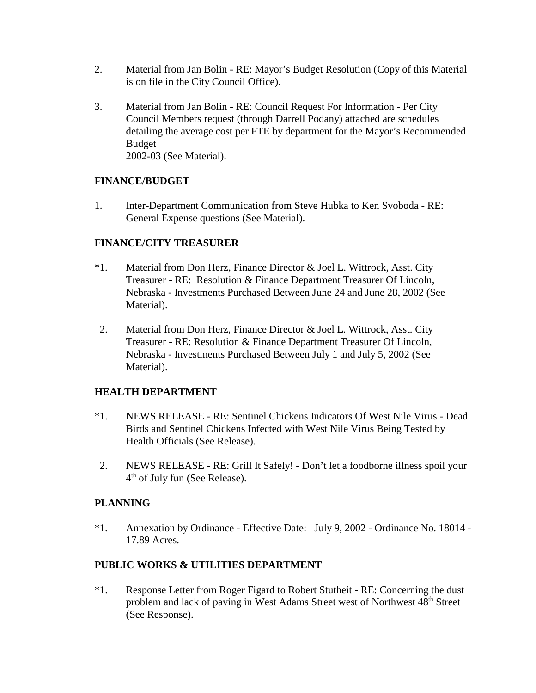- 2. Material from Jan Bolin RE: Mayor's Budget Resolution (Copy of this Material is on file in the City Council Office).
- 3. Material from Jan Bolin RE: Council Request For Information Per City Council Members request (through Darrell Podany) attached are schedules detailing the average cost per FTE by department for the Mayor's Recommended Budget 2002-03 (See Material).

# **FINANCE/BUDGET**

1. Inter-Department Communication from Steve Hubka to Ken Svoboda - RE: General Expense questions (See Material).

# **FINANCE/CITY TREASURER**

- \*1. Material from Don Herz, Finance Director & Joel L. Wittrock, Asst. City Treasurer - RE: Resolution & Finance Department Treasurer Of Lincoln, Nebraska - Investments Purchased Between June 24 and June 28, 2002 (See Material).
- 2. Material from Don Herz, Finance Director & Joel L. Wittrock, Asst. City Treasurer - RE: Resolution & Finance Department Treasurer Of Lincoln, Nebraska - Investments Purchased Between July 1 and July 5, 2002 (See Material).

# **HEALTH DEPARTMENT**

- \*1. NEWS RELEASE RE: Sentinel Chickens Indicators Of West Nile Virus Dead Birds and Sentinel Chickens Infected with West Nile Virus Being Tested by Health Officials (See Release).
- 2. NEWS RELEASE RE: Grill It Safely! Don't let a foodborne illness spoil your  $4<sup>th</sup>$  of July fun (See Release).

# **PLANNING**

\*1. Annexation by Ordinance - Effective Date: July 9, 2002 - Ordinance No. 18014 - 17.89 Acres.

# **PUBLIC WORKS & UTILITIES DEPARTMENT**

\*1. Response Letter from Roger Figard to Robert Stutheit - RE: Concerning the dust problem and lack of paving in West Adams Street west of Northwest 48<sup>th</sup> Street (See Response).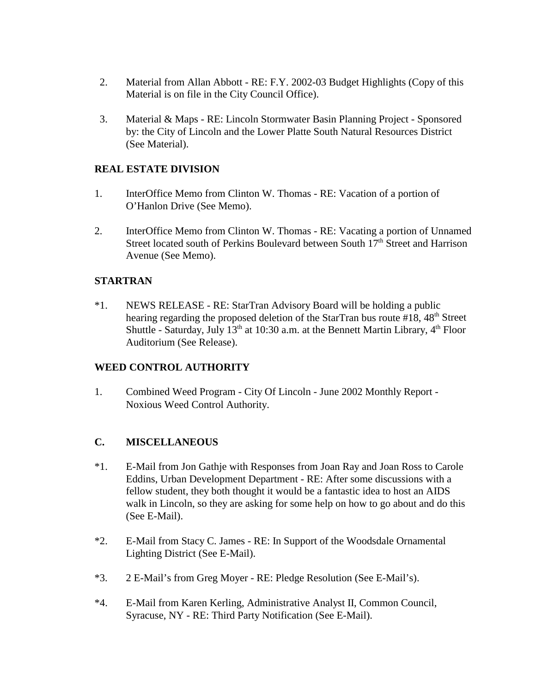- 2. Material from Allan Abbott RE: F.Y. 2002-03 Budget Highlights (Copy of this Material is on file in the City Council Office).
- 3. Material & Maps RE: Lincoln Stormwater Basin Planning Project Sponsored by: the City of Lincoln and the Lower Platte South Natural Resources District (See Material).

# **REAL ESTATE DIVISION**

- 1. InterOffice Memo from Clinton W. Thomas RE: Vacation of a portion of O'Hanlon Drive (See Memo).
- 2. InterOffice Memo from Clinton W. Thomas RE: Vacating a portion of Unnamed Street located south of Perkins Boulevard between South 17<sup>th</sup> Street and Harrison Avenue (See Memo).

# **STARTRAN**

\*1. NEWS RELEASE - RE: StarTran Advisory Board will be holding a public hearing regarding the proposed deletion of the StarTran bus route  $#18$ ,  $48<sup>th</sup>$  Street Shuttle - Saturday, July  $13<sup>th</sup>$  at 10:30 a.m. at the Bennett Martin Library,  $4<sup>th</sup>$  Floor Auditorium (See Release).

# **WEED CONTROL AUTHORITY**

1. Combined Weed Program - City Of Lincoln - June 2002 Monthly Report - Noxious Weed Control Authority.

# **C. MISCELLANEOUS**

- \*1. E-Mail from Jon Gathje with Responses from Joan Ray and Joan Ross to Carole Eddins, Urban Development Department - RE: After some discussions with a fellow student, they both thought it would be a fantastic idea to host an AIDS walk in Lincoln, so they are asking for some help on how to go about and do this (See E-Mail).
- \*2. E-Mail from Stacy C. James RE: In Support of the Woodsdale Ornamental Lighting District (See E-Mail).
- \*3. 2 E-Mail's from Greg Moyer RE: Pledge Resolution (See E-Mail's).
- \*4. E-Mail from Karen Kerling, Administrative Analyst II, Common Council, Syracuse, NY - RE: Third Party Notification (See E-Mail).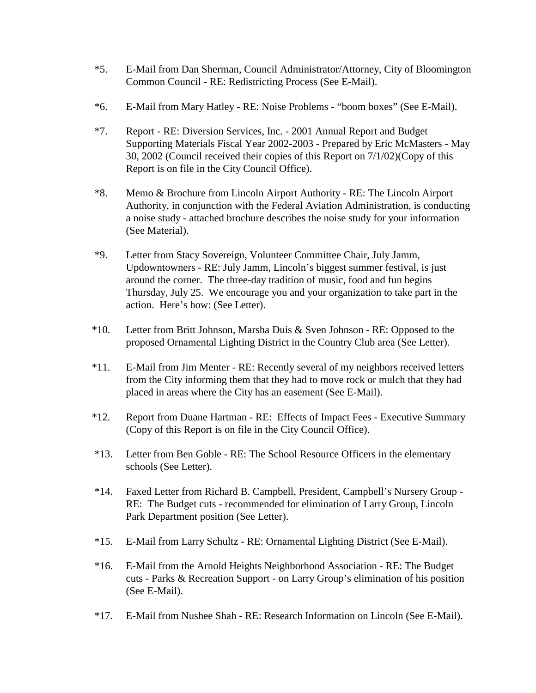- \*5. E-Mail from Dan Sherman, Council Administrator/Attorney, City of Bloomington Common Council - RE: Redistricting Process (See E-Mail).
- \*6. E-Mail from Mary Hatley RE: Noise Problems "boom boxes" (See E-Mail).
- \*7. Report RE: Diversion Services, Inc. 2001 Annual Report and Budget Supporting Materials Fiscal Year 2002-2003 - Prepared by Eric McMasters - May 30, 2002 (Council received their copies of this Report on 7/1/02)(Copy of this Report is on file in the City Council Office).
- \*8. Memo & Brochure from Lincoln Airport Authority RE: The Lincoln Airport Authority, in conjunction with the Federal Aviation Administration, is conducting a noise study - attached brochure describes the noise study for your information (See Material).
- \*9. Letter from Stacy Sovereign, Volunteer Committee Chair, July Jamm, Updowntowners - RE: July Jamm, Lincoln's biggest summer festival, is just around the corner. The three-day tradition of music, food and fun begins Thursday, July 25. We encourage you and your organization to take part in the action. Here's how: (See Letter).
- \*10. Letter from Britt Johnson, Marsha Duis & Sven JohnsonRE: Opposed to the proposed Ornamental Lighting District in the Country Club area (See Letter).
- \*11. E-Mail from Jim Menter RE: Recently several of my neighbors received letters from the City informing them that they had to move rock or mulch that they had placed in areas where the City has an easement (See E-Mail).
- \*12. Report from Duane Hartman RE: Effects of Impact Fees Executive Summary (Copy of this Report is on file in the City Council Office).
- \*13. Letter from Ben Goble RE: The School Resource Officers in the elementary schools (See Letter).
- \*14. Faxed Letter from Richard B. Campbell, President, Campbell's Nursery Group RE: The Budget cuts - recommended for elimination of Larry Group, Lincoln Park Department position (See Letter).
- \*15. E-Mail from Larry Schultz RE: Ornamental Lighting District (See E-Mail).
- \*16. E-Mail from the Arnold Heights Neighborhood Association RE: The Budget cuts - Parks & Recreation Support - on Larry Group's elimination of his position (See E-Mail).
- \*17. E-Mail from Nushee Shah RE: Research Information on Lincoln (See E-Mail).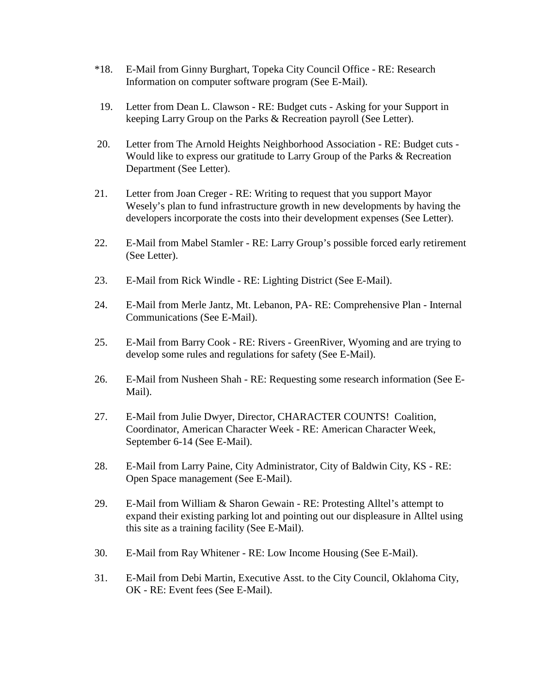- \*18. E-Mail from Ginny Burghart, Topeka City Council Office RE: Research Information on computer software program (See E-Mail).
- 19. Letter from Dean L. Clawson RE: Budget cuts Asking for your Support in keeping Larry Group on the Parks & Recreation payroll (See Letter).
- 20. Letter from The Arnold Heights Neighborhood Association RE: Budget cuts Would like to express our gratitude to Larry Group of the Parks & Recreation Department (See Letter).
- 21. Letter from Joan Creger RE: Writing to request that you support Mayor Wesely's plan to fund infrastructure growth in new developments by having the developers incorporate the costs into their development expenses (See Letter).
- 22. E-Mail from Mabel Stamler RE: Larry Group's possible forced early retirement (See Letter).
- 23. E-Mail from Rick Windle RE: Lighting District (See E-Mail).
- 24. E-Mail from Merle Jantz, Mt. Lebanon, PA- RE: Comprehensive Plan Internal Communications (See E-Mail).
- 25. E-Mail from Barry Cook RE: Rivers GreenRiver, Wyoming and are trying to develop some rules and regulations for safety (See E-Mail).
- 26. E-Mail from Nusheen Shah RE: Requesting some research information (See E-Mail).
- 27. E-Mail from Julie Dwyer, Director, CHARACTER COUNTS! Coalition, Coordinator, American Character Week - RE: American Character Week, September 6-14 (See E-Mail).
- 28. E-Mail from Larry Paine, City Administrator, City of Baldwin City, KS RE: Open Space management (See E-Mail).
- 29. E-Mail from William & Sharon Gewain RE: Protesting Alltel's attempt to expand their existing parking lot and pointing out our displeasure in Alltel using this site as a training facility (See E-Mail).
- 30. E-Mail from Ray Whitener RE: Low Income Housing (See E-Mail).
- 31. E-Mail from Debi Martin, Executive Asst. to the City Council, Oklahoma City, OK - RE: Event fees (See E-Mail).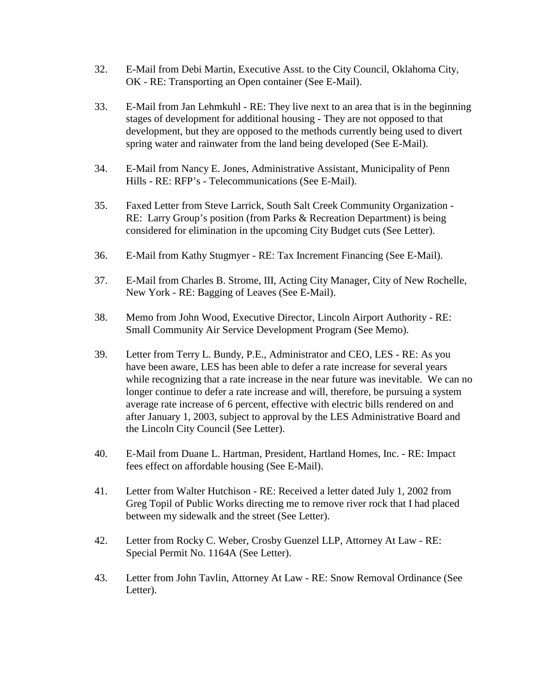- 32. E-Mail from Debi Martin, Executive Asst. to the City Council, Oklahoma City, OK - RE: Transporting an Open container (See E-Mail).
- 33. E-Mail from Jan Lehmkuhl RE: They live next to an area that is in the beginning stages of development for additional housing - They are not opposed to that development, but they are opposed to the methods currently being used to divert spring water and rainwater from the land being developed (See E-Mail).
- 34. E-Mail from Nancy E. Jones, Administrative Assistant, Municipality of Penn Hills - RE: RFP's - Telecommunications (See E-Mail).
- 35. Faxed Letter from Steve Larrick, South Salt Creek Community Organization RE: Larry Group's position (from Parks & Recreation Department) is being considered for elimination in the upcoming City Budget cuts (See Letter).
- 36. E-Mail from Kathy Stugmyer RE: Tax Increment Financing (See E-Mail).
- 37. E-Mail from Charles B. Strome, III, Acting City Manager, City of New Rochelle, New York - RE: Bagging of Leaves (See E-Mail).
- 38. Memo from John Wood, Executive Director, Lincoln Airport Authority RE: Small Community Air Service Development Program (See Memo).
- 39. Letter from Terry L. Bundy, P.E., Administrator and CEO, LES RE: As you have been aware, LES has been able to defer a rate increase for several years while recognizing that a rate increase in the near future was inevitable. We can no longer continue to defer a rate increase and will, therefore, be pursuing a system average rate increase of 6 percent, effective with electric bills rendered on and after January 1, 2003, subject to approval by the LES Administrative Board and the Lincoln City Council (See Letter).
- 40. E-Mail from Duane L. Hartman, President, Hartland Homes, Inc. RE: Impact fees effect on affordable housing (See E-Mail).
- 41. Letter from Walter Hutchison RE: Received a letter dated July 1, 2002 from Greg Topil of Public Works directing me to remove river rock that I had placed between my sidewalk and the street (See Letter).
- 42. Letter from Rocky C. Weber, Crosby Guenzel LLP, Attorney At Law RE: Special Permit No. 1164A (See Letter).
- 43. Letter from John Tavlin, Attorney At Law RE: Snow Removal Ordinance (See Letter).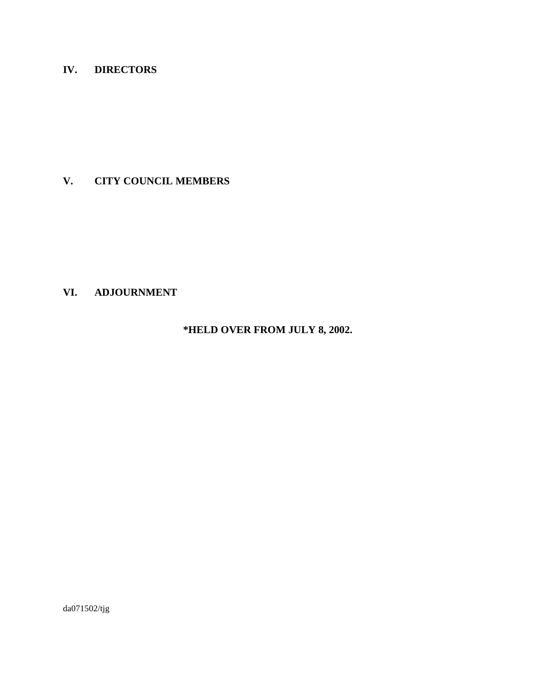# **IV. DIRECTORS**

# **V. CITY COUNCIL MEMBERS**

# **VI. ADJOURNMENT**

# **\*HELD OVER FROM JULY 8, 2002.**

da071502/tjg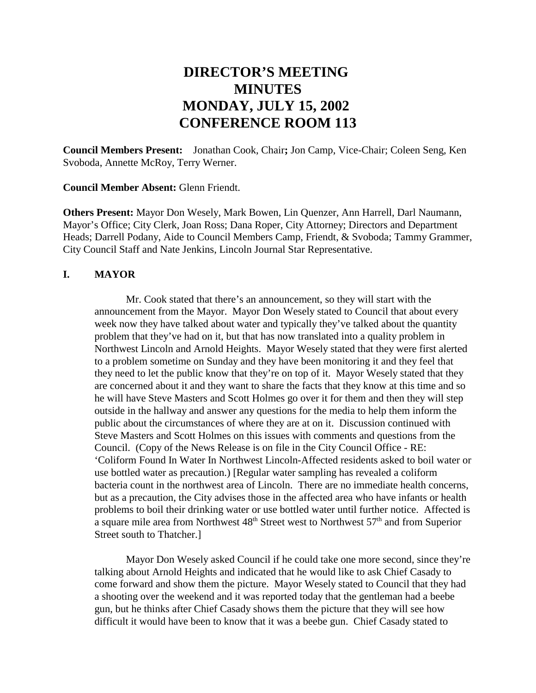# **DIRECTOR'S MEETING MINUTES MONDAY, JULY 15, 2002 CONFERENCE ROOM 113**

**Council Members Present:** Jonathan Cook, Chair**;** Jon Camp, Vice-Chair; Coleen Seng, Ken Svoboda, Annette McRoy, Terry Werner.

**Council Member Absent:** Glenn Friendt.

**Others Present:** Mayor Don Wesely, Mark Bowen, Lin Quenzer, Ann Harrell, Darl Naumann, Mayor's Office; City Clerk, Joan Ross; Dana Roper, City Attorney; Directors and Department Heads; Darrell Podany, Aide to Council Members Camp, Friendt, & Svoboda; Tammy Grammer, City Council Staff and Nate Jenkins, Lincoln Journal Star Representative.

## **I. MAYOR**

Mr. Cook stated that there's an announcement, so they will start with the announcement from the Mayor. Mayor Don Wesely stated to Council that about every week now they have talked about water and typically they've talked about the quantity problem that they've had on it, but that has now translated into a quality problem in Northwest Lincoln and Arnold Heights. Mayor Wesely stated that they were first alerted to a problem sometime on Sunday and they have been monitoring it and they feel that they need to let the public know that they're on top of it. Mayor Wesely stated that they are concerned about it and they want to share the facts that they know at this time and so he will have Steve Masters and Scott Holmes go over it for them and then they will step outside in the hallway and answer any questions for the media to help them inform the public about the circumstances of where they are at on it. Discussion continued with Steve Masters and Scott Holmes on this issues with comments and questions from the Council. (Copy of the News Release is on file in the City Council Office - RE: 'Coliform Found In Water In Northwest Lincoln-Affected residents asked to boil water or use bottled water as precaution.) [Regular water sampling has revealed a coliform bacteria count in the northwest area of Lincoln. There are no immediate health concerns, but as a precaution, the City advises those in the affected area who have infants or health problems to boil their drinking water or use bottled water until further notice. Affected is a square mile area from Northwest  $48<sup>th</sup>$  Street west to Northwest  $57<sup>th</sup>$  and from Superior Street south to Thatcher.]

Mayor Don Wesely asked Council if he could take one more second, since they're talking about Arnold Heights and indicated that he would like to ask Chief Casady to come forward and show them the picture. Mayor Wesely stated to Council that they had a shooting over the weekend and it was reported today that the gentleman had a beebe gun, but he thinks after Chief Casady shows them the picture that they will see how difficult it would have been to know that it was a beebe gun. Chief Casady stated to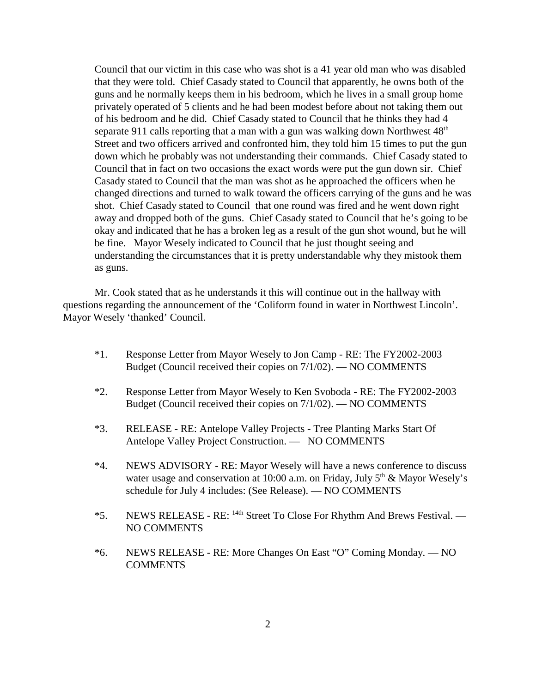Council that our victim in this case who was shot is a 41 year old man who was disabled that they were told. Chief Casady stated to Council that apparently, he owns both of the guns and he normally keeps them in his bedroom, which he lives in a small group home privately operated of 5 clients and he had been modest before about not taking them out of his bedroom and he did. Chief Casady stated to Council that he thinks they had 4 separate 911 calls reporting that a man with a gun was walking down Northwest  $48<sup>th</sup>$ Street and two officers arrived and confronted him, they told him 15 times to put the gun down which he probably was not understanding their commands. Chief Casady stated to Council that in fact on two occasions the exact words were put the gun down sir. Chief Casady stated to Council that the man was shot as he approached the officers when he changed directions and turned to walk toward the officers carrying of the guns and he was shot. Chief Casady stated to Council that one round was fired and he went down right away and dropped both of the guns. Chief Casady stated to Council that he's going to be okay and indicated that he has a broken leg as a result of the gun shot wound, but he will be fine. Mayor Wesely indicated to Council that he just thought seeing and understanding the circumstances that it is pretty understandable why they mistook them as guns.

Mr. Cook stated that as he understands it this will continue out in the hallway with questions regarding the announcement of the 'Coliform found in water in Northwest Lincoln'. Mayor Wesely 'thanked' Council.

- \*1. Response Letter from Mayor Wesely to Jon Camp RE: The FY2002-2003 Budget (Council received their copies on 7/1/02). — NO COMMENTS
- \*2. Response Letter from Mayor Wesely to Ken Svoboda RE: The FY2002-2003 Budget (Council received their copies on 7/1/02). — NO COMMENTS
- \*3. RELEASE RE: Antelope Valley Projects Tree Planting Marks Start Of Antelope Valley Project Construction. — NO COMMENTS
- \*4. NEWS ADVISORY RE: Mayor Wesely will have a news conference to discuss water usage and conservation at 10:00 a.m. on Friday, July  $5<sup>th</sup>$  & Mayor Wesely's schedule for July 4 includes: (See Release). — NO COMMENTS
- \*5. NEWS RELEASE RE: 14th Street To Close For Rhythm And Brews Festival. NO COMMENTS
- \*6. NEWS RELEASE RE: More Changes On East "O" Coming Monday. NO **COMMENTS**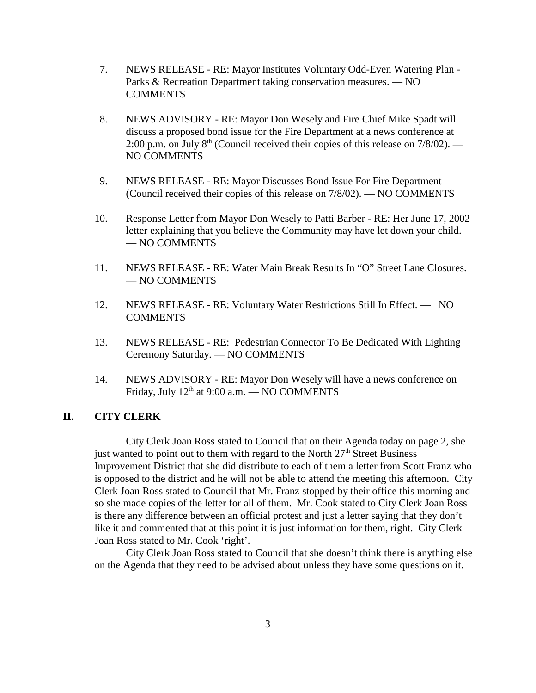- 7. NEWS RELEASE RE: Mayor Institutes Voluntary Odd-Even Watering Plan Parks & Recreation Department taking conservation measures. — NO **COMMENTS**
- 8. NEWS ADVISORY RE: Mayor Don Wesely and Fire Chief Mike Spadt will discuss a proposed bond issue for the Fire Department at a news conference at 2:00 p.m. on July  $8<sup>th</sup>$  (Council received their copies of this release on 7/8/02). — NO COMMENTS
- 9. NEWS RELEASE RE: Mayor Discusses Bond Issue For Fire Department (Council received their copies of this release on 7/8/02). — NO COMMENTS
- 10. Response Letter from Mayor Don Wesely to Patti Barber RE: Her June 17, 2002 letter explaining that you believe the Community may have let down your child. — NO COMMENTS
- 11. NEWS RELEASE RE: Water Main Break Results In "O" Street Lane Closures. — NO COMMENTS
- 12. NEWS RELEASE RE: Voluntary Water Restrictions Still In Effect. NO **COMMENTS**
- 13. NEWS RELEASE RE: Pedestrian Connector To Be Dedicated With Lighting Ceremony Saturday. — NO COMMENTS
- 14. NEWS ADVISORY RE: Mayor Don Wesely will have a news conference on Friday, July  $12<sup>th</sup>$  at 9:00 a.m. — NO COMMENTS

### **II. CITY CLERK**

City Clerk Joan Ross stated to Council that on their Agenda today on page 2, she just wanted to point out to them with regard to the North  $27<sup>th</sup>$  Street Business Improvement District that she did distribute to each of them a letter from Scott Franz who is opposed to the district and he will not be able to attend the meeting this afternoon. City Clerk Joan Ross stated to Council that Mr. Franz stopped by their office this morning and so she made copies of the letter for all of them. Mr. Cook stated to City Clerk Joan Ross is there any difference between an official protest and just a letter saying that they don't like it and commented that at this point it is just information for them, right. City Clerk Joan Ross stated to Mr. Cook 'right'.

City Clerk Joan Ross stated to Council that she doesn't think there is anything else on the Agenda that they need to be advised about unless they have some questions on it.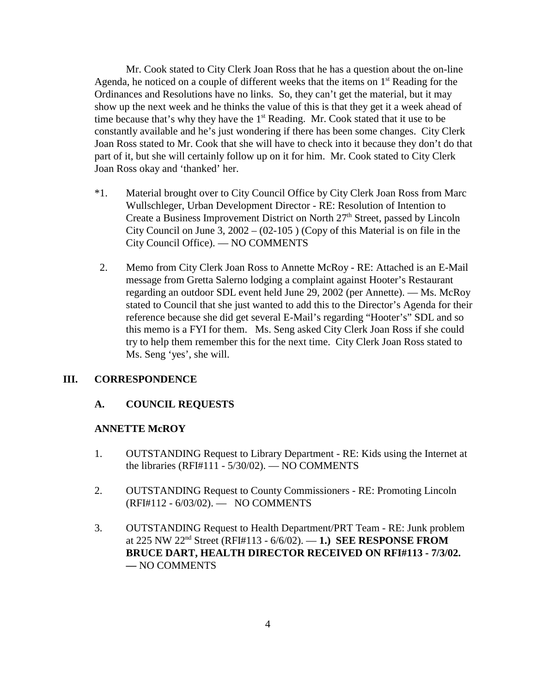Mr. Cook stated to City Clerk Joan Ross that he has a question about the on-line Agenda, he noticed on a couple of different weeks that the items on  $1<sup>st</sup>$  Reading for the Ordinances and Resolutions have no links. So, they can't get the material, but it may show up the next week and he thinks the value of this is that they get it a week ahead of time because that's why they have the  $1<sup>st</sup>$  Reading. Mr. Cook stated that it use to be constantly available and he's just wondering if there has been some changes. City Clerk Joan Ross stated to Mr. Cook that she will have to check into it because they don't do that part of it, but she will certainly follow up on it for him. Mr. Cook stated to City Clerk Joan Ross okay and 'thanked' her.

- \*1. Material brought over to City Council Office by City Clerk Joan Ross from Marc Wullschleger, Urban Development Director - RE: Resolution of Intention to Create a Business Improvement District on North  $27<sup>th</sup>$  Street, passed by Lincoln City Council on June 3,  $2002 - (02-105)$  (Copy of this Material is on file in the City Council Office). — NO COMMENTS
- 2. Memo from City Clerk Joan Ross to Annette McRoy RE: Attached is an E-Mail message from Gretta Salerno lodging a complaint against Hooter's Restaurant regarding an outdoor SDL event held June 29, 2002 (per Annette). — Ms. McRoy stated to Council that she just wanted to add this to the Director's Agenda for their reference because she did get several E-Mail's regarding "Hooter's" SDL and so this memo is a FYI for them. Ms. Seng asked City Clerk Joan Ross if she could try to help them remember this for the next time. City Clerk Joan Ross stated to Ms. Seng 'yes', she will.

#### **III. CORRESPONDENCE**

## **A. COUNCIL REQUESTS**

#### **ANNETTE McROY**

- 1. OUTSTANDING Request to Library Department RE: Kids using the Internet at the libraries (RFI#111 - 5/30/02). — NO COMMENTS
- 2. OUTSTANDING Request to County Commissioners RE: Promoting Lincoln (RFI#112 - 6/03/02). — NO COMMENTS
- 3. OUTSTANDING Request to Health Department/PRT Team RE: Junk problem at 225 NW 22nd Street (RFI#113 - 6/6/02). — **1.) SEE RESPONSE FROM BRUCE DART, HEALTH DIRECTOR RECEIVED ON RFI#113 - 7/3/02. —** NO COMMENTS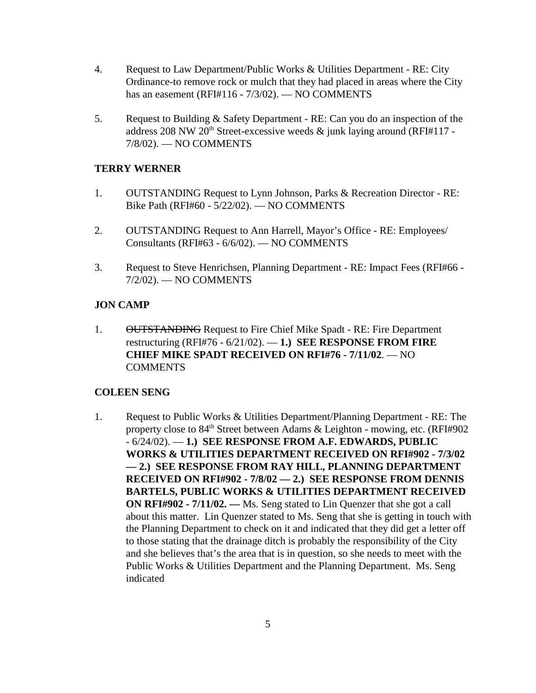- 4. Request to Law Department/Public Works & Utilities Department RE: City Ordinance-to remove rock or mulch that they had placed in areas where the City has an easement (RFI#116 - 7/3/02). — NO COMMENTS
- 5. Request to Building & Safety Department RE: Can you do an inspection of the address 208 NW 20<sup>th</sup> Street-excessive weeds  $\&$  junk laying around (RFI#117 -7/8/02). — NO COMMENTS

# **TERRY WERNER**

- 1. OUTSTANDING Request to Lynn Johnson, Parks & Recreation Director RE: Bike Path (RFI#60 - 5/22/02). — NO COMMENTS
- 2. OUTSTANDING Request to Ann Harrell, Mayor's Office RE: Employees/ Consultants (RFI#63 - 6/6/02). — NO COMMENTS
- 3. Request to Steve Henrichsen, Planning Department RE: Impact Fees (RFI#66 7/2/02). — NO COMMENTS

## **JON CAMP**

1. OUTSTANDING Request to Fire Chief Mike Spadt - RE: Fire Department restructuring (RFI#76 - 6/21/02). — **1.) SEE RESPONSE FROM FIRE CHIEF MIKE SPADT RECEIVED ON RFI#76 - 7/11/02**. — NO COMMENTS

## **COLEEN SENG**

1. Request to Public Works & Utilities Department/Planning Department - RE: The property close to  $84<sup>th</sup>$  Street between Adams & Leighton - mowing, etc. (RFI#902) - 6/24/02). — **1.) SEE RESPONSE FROM A.F. EDWARDS, PUBLIC WORKS & UTILITIES DEPARTMENT RECEIVED ON RFI#902 - 7/3/02 — 2.) SEE RESPONSE FROM RAY HILL, PLANNING DEPARTMENT RECEIVED ON RFI#902 - 7/8/02 — 2.) SEE RESPONSE FROM DENNIS BARTELS, PUBLIC WORKS & UTILITIES DEPARTMENT RECEIVED ON RFI#902 - 7/11/02. —** Ms. Seng stated to Lin Quenzer that she got a call about this matter. Lin Quenzer stated to Ms. Seng that she is getting in touch with the Planning Department to check on it and indicated that they did get a letter off to those stating that the drainage ditch is probably the responsibility of the City and she believes that's the area that is in question, so she needs to meet with the Public Works & Utilities Department and the Planning Department. Ms. Seng indicated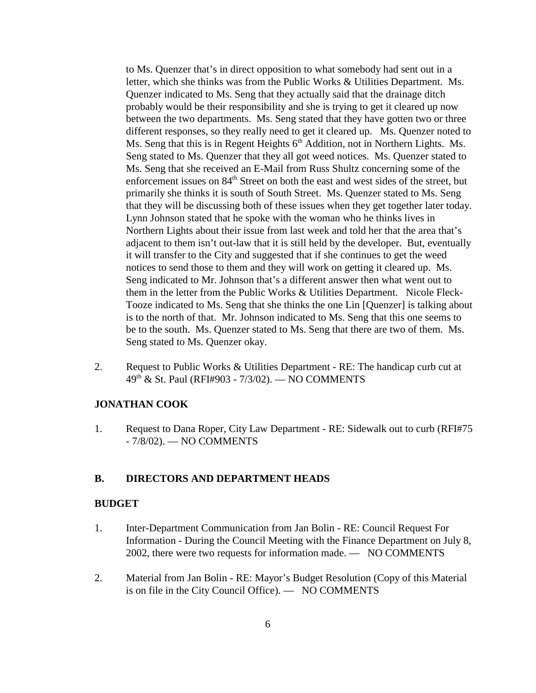to Ms. Quenzer that's in direct opposition to what somebody had sent out in a letter, which she thinks was from the Public Works & Utilities Department. Ms. Quenzer indicated to Ms. Seng that they actually said that the drainage ditch probably would be their responsibility and she is trying to get it cleared up now between the two departments. Ms. Seng stated that they have gotten two or three different responses, so they really need to get it cleared up. Ms. Quenzer noted to Ms. Seng that this is in Regent Heights  $6<sup>th</sup>$  Addition, not in Northern Lights. Ms. Seng stated to Ms. Quenzer that they all got weed notices. Ms. Quenzer stated to Ms. Seng that she received an E-Mail from Russ Shultz concerning some of the enforcement issues on 84<sup>th</sup> Street on both the east and west sides of the street, but primarily she thinks it is south of South Street. Ms. Quenzer stated to Ms. Seng that they will be discussing both of these issues when they get together later today. Lynn Johnson stated that he spoke with the woman who he thinks lives in Northern Lights about their issue from last week and told her that the area that's adjacent to them isn't out-law that it is still held by the developer. But, eventually it will transfer to the City and suggested that if she continues to get the weed notices to send those to them and they will work on getting it cleared up. Ms. Seng indicated to Mr. Johnson that's a different answer then what went out to them in the letter from the Public Works & Utilities Department. Nicole Fleck-Tooze indicated to Ms. Seng that she thinks the one Lin [Quenzer] is talking about is to the north of that. Mr. Johnson indicated to Ms. Seng that this one seems to be to the south. Ms. Quenzer stated to Ms. Seng that there are two of them. Ms. Seng stated to Ms. Quenzer okay.

2. Request to Public Works & Utilities Department - RE: The handicap curb cut at 49th & St. Paul (RFI#903 - 7/3/02). — NO COMMENTS

#### **JONATHAN COOK**

1. Request to Dana Roper, City Law Department - RE: Sidewalk out to curb (RFI#75 - 7/8/02). — NO COMMENTS

#### **B. DIRECTORS AND DEPARTMENT HEADS**

#### **BUDGET**

- 1. Inter-Department Communication from Jan Bolin RE: Council Request For Information - During the Council Meeting with the Finance Department on July 8, 2002, there were two requests for information made. — NO COMMENTS
- 2. Material from Jan Bolin RE: Mayor's Budget Resolution (Copy of this Material is on file in the City Council Office). — NO COMMENTS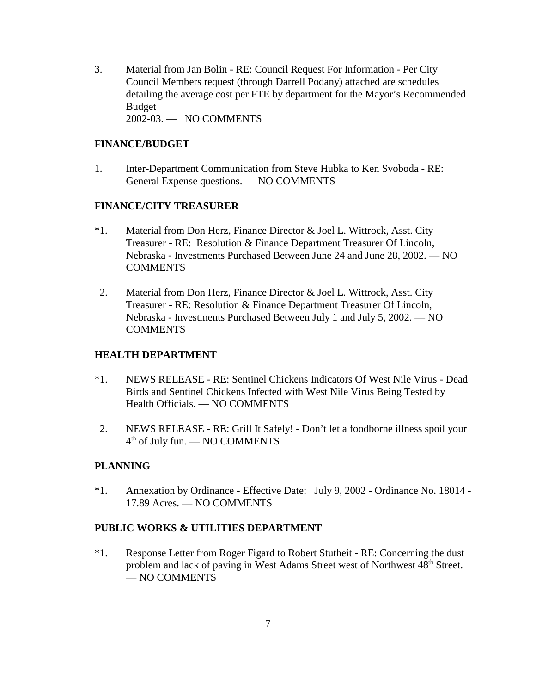3. Material from Jan Bolin - RE: Council Request For Information - Per City Council Members request (through Darrell Podany) attached are schedules detailing the average cost per FTE by department for the Mayor's Recommended Budget 2002-03. — NO COMMENTS

## **FINANCE/BUDGET**

1. Inter-Department Communication from Steve Hubka to Ken Svoboda - RE: General Expense questions. — NO COMMENTS

#### **FINANCE/CITY TREASURER**

- \*1. Material from Don Herz, Finance Director & Joel L. Wittrock, Asst. City Treasurer - RE: Resolution & Finance Department Treasurer Of Lincoln, Nebraska - Investments Purchased Between June 24 and June 28, 2002. — NO **COMMENTS**
- 2. Material from Don Herz, Finance Director & Joel L. Wittrock, Asst. City Treasurer - RE: Resolution & Finance Department Treasurer Of Lincoln, Nebraska - Investments Purchased Between July 1 and July 5, 2002. — NO COMMENTS

## **HEALTH DEPARTMENT**

- \*1. NEWS RELEASE RE: Sentinel Chickens Indicators Of West Nile Virus Dead Birds and Sentinel Chickens Infected with West Nile Virus Being Tested by Health Officials. — NO COMMENTS
- 2. NEWS RELEASE RE: Grill It Safely! Don't let a foodborne illness spoil your  $4<sup>th</sup>$  of July fun. — NO COMMENTS

## **PLANNING**

\*1. Annexation by Ordinance - Effective Date: July 9, 2002 - Ordinance No. 18014 - 17.89 Acres. — NO COMMENTS

## **PUBLIC WORKS & UTILITIES DEPARTMENT**

\*1. Response Letter from Roger Figard to Robert Stutheit - RE: Concerning the dust problem and lack of paving in West Adams Street west of Northwest 48<sup>th</sup> Street. — NO COMMENTS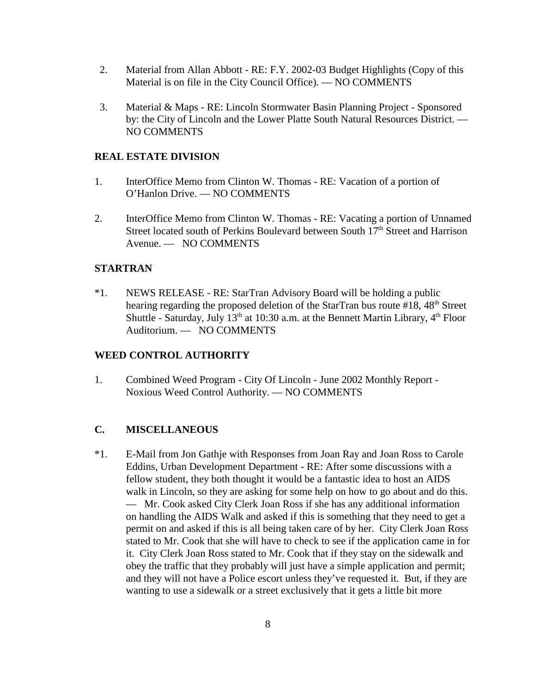- 2. Material from Allan Abbott RE: F.Y. 2002-03 Budget Highlights (Copy of this Material is on file in the City Council Office). — NO COMMENTS
- 3. Material & Maps RE: Lincoln Stormwater Basin Planning Project Sponsored by: the City of Lincoln and the Lower Platte South Natural Resources District. — NO COMMENTS

## **REAL ESTATE DIVISION**

- 1. InterOffice Memo from Clinton W. Thomas RE: Vacation of a portion of O'Hanlon Drive. — NO COMMENTS
- 2. InterOffice Memo from Clinton W. Thomas RE: Vacating a portion of Unnamed Street located south of Perkins Boulevard between South  $17<sup>th</sup>$  Street and Harrison Avenue. — NO COMMENTS

## **STARTRAN**

\*1. NEWS RELEASE - RE: StarTran Advisory Board will be holding a public hearing regarding the proposed deletion of the StarTran bus route #18, 48<sup>th</sup> Street Shuttle - Saturday, July  $13<sup>th</sup>$  at 10:30 a.m. at the Bennett Martin Library,  $4<sup>th</sup>$  Floor Auditorium. — NO COMMENTS

# **WEED CONTROL AUTHORITY**

1. Combined Weed Program - City Of Lincoln - June 2002 Monthly Report - Noxious Weed Control Authority. — NO COMMENTS

# **C. MISCELLANEOUS**

\*1. E-Mail from Jon Gathje with Responses from Joan Ray and Joan Ross to Carole Eddins, Urban Development Department - RE: After some discussions with a fellow student, they both thought it would be a fantastic idea to host an AIDS walk in Lincoln, so they are asking for some help on how to go about and do this. — Mr. Cook asked City Clerk Joan Ross if she has any additional information on handling the AIDS Walk and asked if this is something that they need to get a permit on and asked if this is all being taken care of by her. City Clerk Joan Ross stated to Mr. Cook that she will have to check to see if the application came in for it. City Clerk Joan Ross stated to Mr. Cook that if they stay on the sidewalk and obey the traffic that they probably will just have a simple application and permit; and they will not have a Police escort unless they've requested it. But, if they are wanting to use a sidewalk or a street exclusively that it gets a little bit more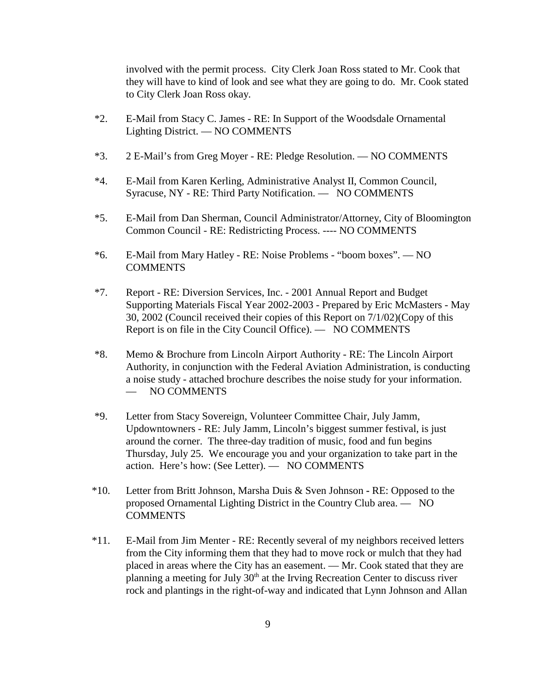involved with the permit process. City Clerk Joan Ross stated to Mr. Cook that they will have to kind of look and see what they are going to do. Mr. Cook stated to City Clerk Joan Ross okay.

- \*2. E-Mail from Stacy C. James RE: In Support of the Woodsdale Ornamental Lighting District. — NO COMMENTS
- \*3. 2 E-Mail's from Greg Moyer RE: Pledge Resolution. NO COMMENTS
- \*4. E-Mail from Karen Kerling, Administrative Analyst II, Common Council, Syracuse, NY - RE: Third Party Notification. — NO COMMENTS
- \*5. E-Mail from Dan Sherman, Council Administrator/Attorney, City of Bloomington Common Council - RE: Redistricting Process. ---- NO COMMENTS
- \*6. E-Mail from Mary Hatley RE: Noise Problems "boom boxes". NO **COMMENTS**
- \*7. Report RE: Diversion Services, Inc. 2001 Annual Report and Budget Supporting Materials Fiscal Year 2002-2003 - Prepared by Eric McMasters - May 30, 2002 (Council received their copies of this Report on 7/1/02)(Copy of this Report is on file in the City Council Office). — NO COMMENTS
- \*8. Memo & Brochure from Lincoln Airport Authority RE: The Lincoln Airport Authority, in conjunction with the Federal Aviation Administration, is conducting a noise study - attached brochure describes the noise study for your information. — NO COMMENTS
- \*9. Letter from Stacy Sovereign, Volunteer Committee Chair, July Jamm, Updowntowners - RE: July Jamm, Lincoln's biggest summer festival, is just around the corner. The three-day tradition of music, food and fun begins Thursday, July 25. We encourage you and your organization to take part in the action. Here's how: (See Letter). — NO COMMENTS
- \*10. Letter from Britt Johnson, Marsha Duis & Sven JohnsonRE: Opposed to the proposed Ornamental Lighting District in the Country Club area. — NO **COMMENTS**
- \*11. E-Mail from Jim Menter RE: Recently several of my neighbors received letters from the City informing them that they had to move rock or mulch that they had placed in areas where the City has an easement. — Mr. Cook stated that they are planning a meeting for July  $30<sup>th</sup>$  at the Irving Recreation Center to discuss river rock and plantings in the right-of-way and indicated that Lynn Johnson and Allan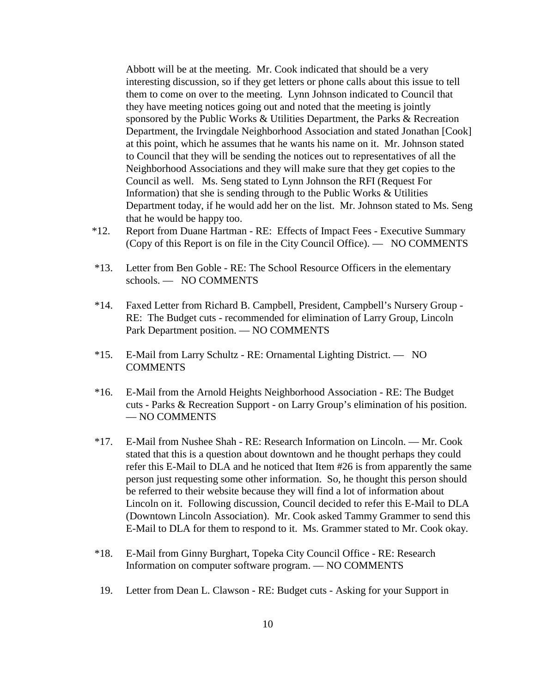Abbott will be at the meeting. Mr. Cook indicated that should be a very interesting discussion, so if they get letters or phone calls about this issue to tell them to come on over to the meeting. Lynn Johnson indicated to Council that they have meeting notices going out and noted that the meeting is jointly sponsored by the Public Works & Utilities Department, the Parks & Recreation Department, the Irvingdale Neighborhood Association and stated Jonathan [Cook] at this point, which he assumes that he wants his name on it. Mr. Johnson stated to Council that they will be sending the notices out to representatives of all the Neighborhood Associations and they will make sure that they get copies to the Council as well. Ms. Seng stated to Lynn Johnson the RFI (Request For Information) that she is sending through to the Public Works & Utilities Department today, if he would add her on the list. Mr. Johnson stated to Ms. Seng that he would be happy too.

- \*12. Report from Duane Hartman RE: Effects of Impact Fees Executive Summary (Copy of this Report is on file in the City Council Office). — NO COMMENTS
- \*13. Letter from Ben Goble RE: The School Resource Officers in the elementary schools. — NO COMMENTS
- \*14. Faxed Letter from Richard B. Campbell, President, Campbell's Nursery Group RE: The Budget cuts - recommended for elimination of Larry Group, Lincoln Park Department position. — NO COMMENTS
- \*15. E-Mail from Larry Schultz RE: Ornamental Lighting District. NO COMMENTS
- \*16. E-Mail from the Arnold Heights Neighborhood Association RE: The Budget cuts - Parks & Recreation Support - on Larry Group's elimination of his position. — NO COMMENTS
- \*17. E-Mail from Nushee Shah RE: Research Information on Lincoln. Mr. Cook stated that this is a question about downtown and he thought perhaps they could refer this E-Mail to DLA and he noticed that Item #26 is from apparently the same person just requesting some other information. So, he thought this person should be referred to their website because they will find a lot of information about Lincoln on it. Following discussion, Council decided to refer this E-Mail to DLA (Downtown Lincoln Association). Mr. Cook asked Tammy Grammer to send this E-Mail to DLA for them to respond to it. Ms. Grammer stated to Mr. Cook okay.
- \*18. E-Mail from Ginny Burghart, Topeka City Council Office RE: Research Information on computer software program. — NO COMMENTS
- 19. Letter from Dean L. Clawson RE: Budget cuts Asking for your Support in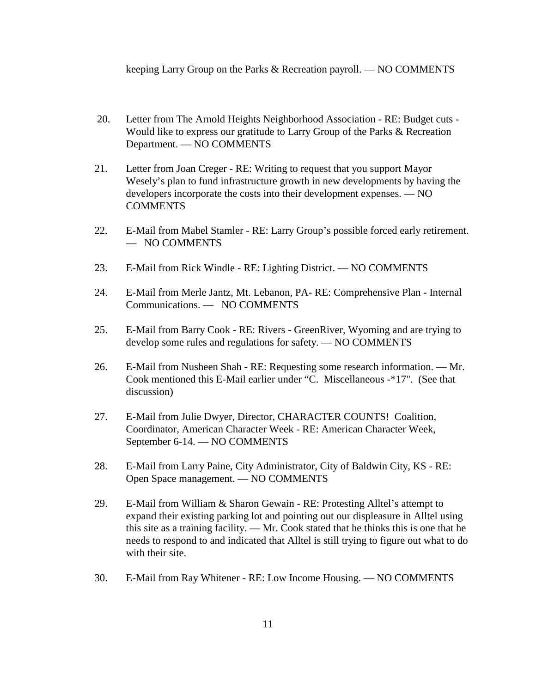keeping Larry Group on the Parks & Recreation payroll. — NO COMMENTS

- 20. Letter from The Arnold Heights Neighborhood Association RE: Budget cuts Would like to express our gratitude to Larry Group of the Parks & Recreation Department. — NO COMMENTS
- 21. Letter from Joan Creger RE: Writing to request that you support Mayor Wesely's plan to fund infrastructure growth in new developments by having the developers incorporate the costs into their development expenses. — NO **COMMENTS**
- 22. E-Mail from Mabel Stamler RE: Larry Group's possible forced early retirement. — NO COMMENTS
- 23. E-Mail from Rick Windle RE: Lighting District. NO COMMENTS
- 24. E-Mail from Merle Jantz, Mt. Lebanon, PA- RE: Comprehensive Plan Internal Communications. — NO COMMENTS
- 25. E-Mail from Barry Cook RE: Rivers GreenRiver, Wyoming and are trying to develop some rules and regulations for safety. — NO COMMENTS
- 26. E-Mail from Nusheen Shah RE: Requesting some research information. Mr. Cook mentioned this E-Mail earlier under "C. Miscellaneous -\*17". (See that discussion)
- 27. E-Mail from Julie Dwyer, Director, CHARACTER COUNTS! Coalition, Coordinator, American Character Week - RE: American Character Week, September 6-14. — NO COMMENTS
- 28. E-Mail from Larry Paine, City Administrator, City of Baldwin City, KS RE: Open Space management. — NO COMMENTS
- 29. E-Mail from William & Sharon Gewain RE: Protesting Alltel's attempt to expand their existing parking lot and pointing out our displeasure in Alltel using this site as a training facility. — Mr. Cook stated that he thinks this is one that he needs to respond to and indicated that Alltel is still trying to figure out what to do with their site.
- 30. E-Mail from Ray Whitener RE: Low Income Housing. NO COMMENTS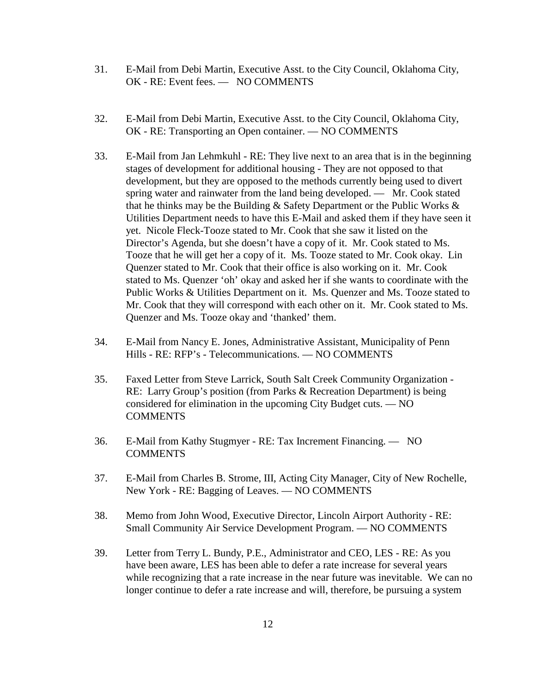- 31. E-Mail from Debi Martin, Executive Asst. to the City Council, Oklahoma City, OK - RE: Event fees. — NO COMMENTS
- 32. E-Mail from Debi Martin, Executive Asst. to the City Council, Oklahoma City, OK - RE: Transporting an Open container. — NO COMMENTS
- 33. E-Mail from Jan Lehmkuhl RE: They live next to an area that is in the beginning stages of development for additional housing - They are not opposed to that development, but they are opposed to the methods currently being used to divert spring water and rainwater from the land being developed. — Mr. Cook stated that he thinks may be the Building & Safety Department or the Public Works & Utilities Department needs to have this E-Mail and asked them if they have seen it yet. Nicole Fleck-Tooze stated to Mr. Cook that she saw it listed on the Director's Agenda, but she doesn't have a copy of it. Mr. Cook stated to Ms. Tooze that he will get her a copy of it. Ms. Tooze stated to Mr. Cook okay. Lin Quenzer stated to Mr. Cook that their office is also working on it. Mr. Cook stated to Ms. Quenzer 'oh' okay and asked her if she wants to coordinate with the Public Works & Utilities Department on it. Ms. Quenzer and Ms. Tooze stated to Mr. Cook that they will correspond with each other on it. Mr. Cook stated to Ms. Quenzer and Ms. Tooze okay and 'thanked' them.
- 34. E-Mail from Nancy E. Jones, Administrative Assistant, Municipality of Penn Hills - RE: RFP's - Telecommunications. — NO COMMENTS
- 35. Faxed Letter from Steve Larrick, South Salt Creek Community Organization RE: Larry Group's position (from Parks & Recreation Department) is being considered for elimination in the upcoming City Budget cuts. — NO COMMENTS
- 36. E-Mail from Kathy Stugmyer RE: Tax Increment Financing. NO COMMENTS
- 37. E-Mail from Charles B. Strome, III, Acting City Manager, City of New Rochelle, New York - RE: Bagging of Leaves. — NO COMMENTS
- 38. Memo from John Wood, Executive Director, Lincoln Airport Authority RE: Small Community Air Service Development Program. — NO COMMENTS
- 39. Letter from Terry L. Bundy, P.E., Administrator and CEO, LES RE: As you have been aware, LES has been able to defer a rate increase for several years while recognizing that a rate increase in the near future was inevitable. We can no longer continue to defer a rate increase and will, therefore, be pursuing a system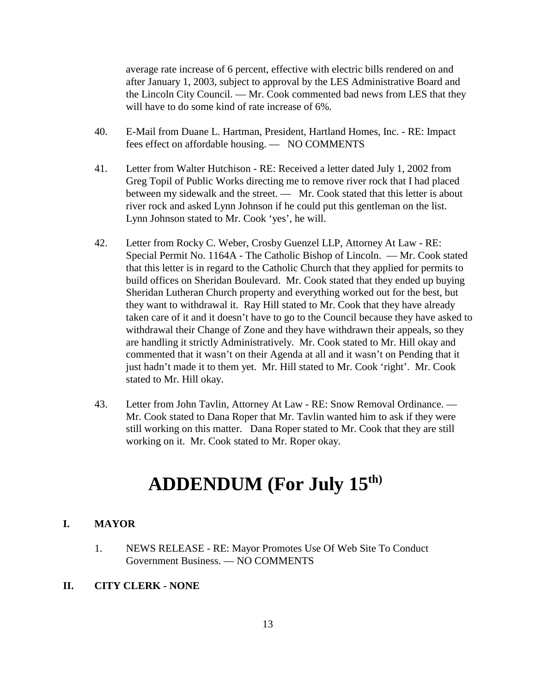average rate increase of 6 percent, effective with electric bills rendered on and after January 1, 2003, subject to approval by the LES Administrative Board and the Lincoln City Council. — Mr. Cook commented bad news from LES that they will have to do some kind of rate increase of 6%.

- 40. E-Mail from Duane L. Hartman, President, Hartland Homes, Inc. RE: Impact fees effect on affordable housing. — NO COMMENTS
- 41. Letter from Walter Hutchison RE: Received a letter dated July 1, 2002 from Greg Topil of Public Works directing me to remove river rock that I had placed between my sidewalk and the street. — Mr. Cook stated that this letter is about river rock and asked Lynn Johnson if he could put this gentleman on the list. Lynn Johnson stated to Mr. Cook 'yes', he will.
- 42. Letter from Rocky C. Weber, Crosby Guenzel LLP, Attorney At Law RE: Special Permit No. 1164A - The Catholic Bishop of Lincoln. — Mr. Cook stated that this letter is in regard to the Catholic Church that they applied for permits to build offices on Sheridan Boulevard. Mr. Cook stated that they ended up buying Sheridan Lutheran Church property and everything worked out for the best, but they want to withdrawal it. Ray Hill stated to Mr. Cook that they have already taken care of it and it doesn't have to go to the Council because they have asked to withdrawal their Change of Zone and they have withdrawn their appeals, so they are handling it strictly Administratively. Mr. Cook stated to Mr. Hill okay and commented that it wasn't on their Agenda at all and it wasn't on Pending that it just hadn't made it to them yet. Mr. Hill stated to Mr. Cook 'right'. Mr. Cook stated to Mr. Hill okay.
- 43. Letter from John Tavlin, Attorney At Law RE: Snow Removal Ordinance. Mr. Cook stated to Dana Roper that Mr. Tavlin wanted him to ask if they were still working on this matter. Dana Roper stated to Mr. Cook that they are still working on it. Mr. Cook stated to Mr. Roper okay.

# **ADDENDUM (For July 15th)**

#### **I. MAYOR**

1. NEWS RELEASE - RE: Mayor Promotes Use Of Web Site To Conduct Government Business. — NO COMMENTS

#### **II. CITY CLERK - NONE**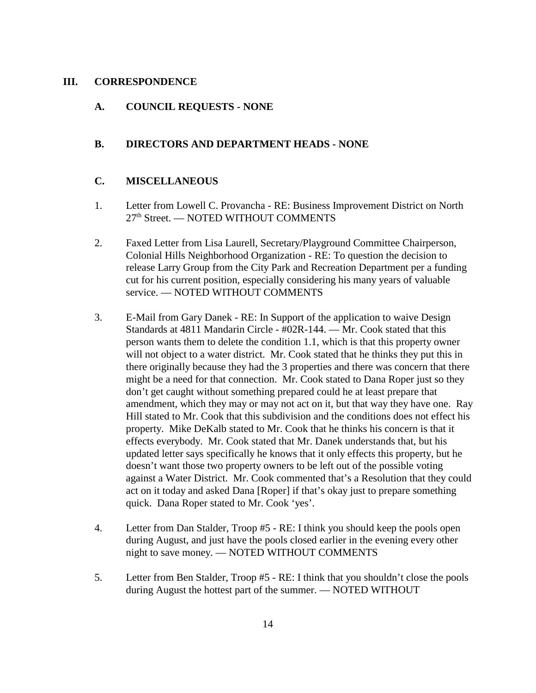#### **III. CORRESPONDENCE**

## **A. COUNCIL REQUESTS - NONE**

## **B. DIRECTORS AND DEPARTMENT HEADS - NONE**

### **C. MISCELLANEOUS**

- 1. Letter from Lowell C. Provancha RE: Business Improvement District on North 27th Street. — NOTED WITHOUT COMMENTS
- 2. Faxed Letter from Lisa Laurell, Secretary/Playground Committee Chairperson, Colonial Hills Neighborhood Organization - RE: To question the decision to release Larry Group from the City Park and Recreation Department per a funding cut for his current position, especially considering his many years of valuable service. — NOTED WITHOUT COMMENTS
- 3. E-Mail from Gary Danek RE: In Support of the application to waive Design Standards at 4811 Mandarin Circle - #02R-144. — Mr. Cook stated that this person wants them to delete the condition 1.1, which is that this property owner will not object to a water district. Mr. Cook stated that he thinks they put this in there originally because they had the 3 properties and there was concern that there might be a need for that connection. Mr. Cook stated to Dana Roper just so they don't get caught without something prepared could he at least prepare that amendment, which they may or may not act on it, but that way they have one. Ray Hill stated to Mr. Cook that this subdivision and the conditions does not effect his property. Mike DeKalb stated to Mr. Cook that he thinks his concern is that it effects everybody. Mr. Cook stated that Mr. Danek understands that, but his updated letter says specifically he knows that it only effects this property, but he doesn't want those two property owners to be left out of the possible voting against a Water District. Mr. Cook commented that's a Resolution that they could act on it today and asked Dana [Roper] if that's okay just to prepare something quick. Dana Roper stated to Mr. Cook 'yes'.
- 4. Letter from Dan Stalder, Troop #5 RE: I think you should keep the pools open during August, and just have the pools closed earlier in the evening every other night to save money. — NOTED WITHOUT COMMENTS
- 5. Letter from Ben Stalder, Troop #5 RE: I think that you shouldn't close the pools during August the hottest part of the summer. — NOTED WITHOUT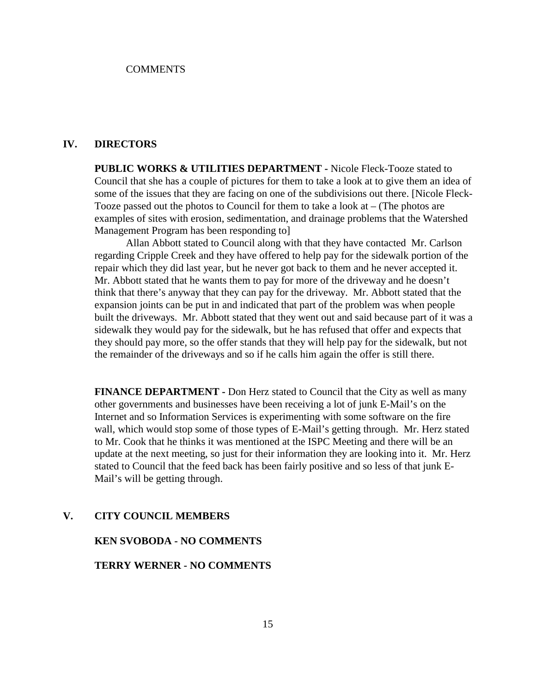#### **COMMENTS**

### **IV. DIRECTORS**

**PUBLIC WORKS & UTILITIES DEPARTMENT -** Nicole Fleck-Tooze stated to Council that she has a couple of pictures for them to take a look at to give them an idea of some of the issues that they are facing on one of the subdivisions out there. [Nicole Fleck-Tooze passed out the photos to Council for them to take a look at – (The photos are examples of sites with erosion, sedimentation, and drainage problems that the Watershed Management Program has been responding to]

Allan Abbott stated to Council along with that they have contacted Mr. Carlson regarding Cripple Creek and they have offered to help pay for the sidewalk portion of the repair which they did last year, but he never got back to them and he never accepted it. Mr. Abbott stated that he wants them to pay for more of the driveway and he doesn't think that there's anyway that they can pay for the driveway. Mr. Abbott stated that the expansion joints can be put in and indicated that part of the problem was when people built the driveways. Mr. Abbott stated that they went out and said because part of it was a sidewalk they would pay for the sidewalk, but he has refused that offer and expects that they should pay more, so the offer stands that they will help pay for the sidewalk, but not the remainder of the driveways and so if he calls him again the offer is still there.

**FINANCE DEPARTMENT -** Don Herz stated to Council that the City as well as many other governments and businesses have been receiving a lot of junk E-Mail's on the Internet and so Information Services is experimenting with some software on the fire wall, which would stop some of those types of E-Mail's getting through. Mr. Herz stated to Mr. Cook that he thinks it was mentioned at the ISPC Meeting and there will be an update at the next meeting, so just for their information they are looking into it. Mr. Herz stated to Council that the feed back has been fairly positive and so less of that junk E-Mail's will be getting through.

#### **V. CITY COUNCIL MEMBERS**

#### **KEN SVOBODA - NO COMMENTS**

#### **TERRY WERNER - NO COMMENTS**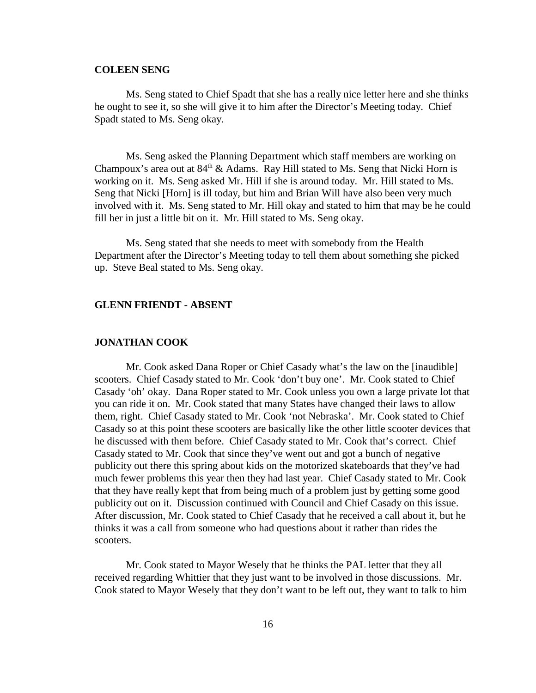#### **COLEEN SENG**

Ms. Seng stated to Chief Spadt that she has a really nice letter here and she thinks he ought to see it, so she will give it to him after the Director's Meeting today. Chief Spadt stated to Ms. Seng okay.

Ms. Seng asked the Planning Department which staff members are working on Champoux's area out at  $84<sup>th</sup>$  & Adams. Ray Hill stated to Ms. Seng that Nicki Horn is working on it. Ms. Seng asked Mr. Hill if she is around today. Mr. Hill stated to Ms. Seng that Nicki [Horn] is ill today, but him and Brian Will have also been very much involved with it. Ms. Seng stated to Mr. Hill okay and stated to him that may be he could fill her in just a little bit on it. Mr. Hill stated to Ms. Seng okay.

Ms. Seng stated that she needs to meet with somebody from the Health Department after the Director's Meeting today to tell them about something she picked up. Steve Beal stated to Ms. Seng okay.

#### **GLENN FRIENDT - ABSENT**

#### **JONATHAN COOK**

Mr. Cook asked Dana Roper or Chief Casady what's the law on the [inaudible] scooters. Chief Casady stated to Mr. Cook 'don't buy one'. Mr. Cook stated to Chief Casady 'oh' okay. Dana Roper stated to Mr. Cook unless you own a large private lot that you can ride it on. Mr. Cook stated that many States have changed their laws to allow them, right. Chief Casady stated to Mr. Cook 'not Nebraska'. Mr. Cook stated to Chief Casady so at this point these scooters are basically like the other little scooter devices that he discussed with them before. Chief Casady stated to Mr. Cook that's correct. Chief Casady stated to Mr. Cook that since they've went out and got a bunch of negative publicity out there this spring about kids on the motorized skateboards that they've had much fewer problems this year then they had last year. Chief Casady stated to Mr. Cook that they have really kept that from being much of a problem just by getting some good publicity out on it. Discussion continued with Council and Chief Casady on this issue. After discussion, Mr. Cook stated to Chief Casady that he received a call about it, but he thinks it was a call from someone who had questions about it rather than rides the scooters.

Mr. Cook stated to Mayor Wesely that he thinks the PAL letter that they all received regarding Whittier that they just want to be involved in those discussions. Mr. Cook stated to Mayor Wesely that they don't want to be left out, they want to talk to him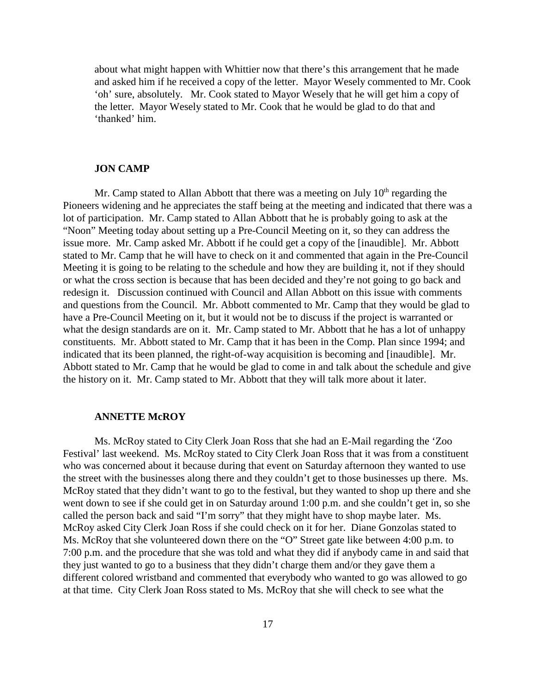about what might happen with Whittier now that there's this arrangement that he made and asked him if he received a copy of the letter. Mayor Wesely commented to Mr. Cook 'oh' sure, absolutely. Mr. Cook stated to Mayor Wesely that he will get him a copy of the letter. Mayor Wesely stated to Mr. Cook that he would be glad to do that and 'thanked' him.

#### **JON CAMP**

Mr. Camp stated to Allan Abbott that there was a meeting on July  $10<sup>th</sup>$  regarding the Pioneers widening and he appreciates the staff being at the meeting and indicated that there was a lot of participation. Mr. Camp stated to Allan Abbott that he is probably going to ask at the "Noon" Meeting today about setting up a Pre-Council Meeting on it, so they can address the issue more. Mr. Camp asked Mr. Abbott if he could get a copy of the [inaudible]. Mr. Abbott stated to Mr. Camp that he will have to check on it and commented that again in the Pre-Council Meeting it is going to be relating to the schedule and how they are building it, not if they should or what the cross section is because that has been decided and they're not going to go back and redesign it. Discussion continued with Council and Allan Abbott on this issue with comments and questions from the Council. Mr. Abbott commented to Mr. Camp that they would be glad to have a Pre-Council Meeting on it, but it would not be to discuss if the project is warranted or what the design standards are on it. Mr. Camp stated to Mr. Abbott that he has a lot of unhappy constituents. Mr. Abbott stated to Mr. Camp that it has been in the Comp. Plan since 1994; and indicated that its been planned, the right-of-way acquisition is becoming and [inaudible]. Mr. Abbott stated to Mr. Camp that he would be glad to come in and talk about the schedule and give the history on it. Mr. Camp stated to Mr. Abbott that they will talk more about it later.

#### **ANNETTE McROY**

Ms. McRoy stated to City Clerk Joan Ross that she had an E-Mail regarding the 'Zoo Festival' last weekend. Ms. McRoy stated to City Clerk Joan Ross that it was from a constituent who was concerned about it because during that event on Saturday afternoon they wanted to use the street with the businesses along there and they couldn't get to those businesses up there. Ms. McRoy stated that they didn't want to go to the festival, but they wanted to shop up there and she went down to see if she could get in on Saturday around 1:00 p.m. and she couldn't get in, so she called the person back and said "I'm sorry" that they might have to shop maybe later. Ms. McRoy asked City Clerk Joan Ross if she could check on it for her. Diane Gonzolas stated to Ms. McRoy that she volunteered down there on the "O" Street gate like between 4:00 p.m. to 7:00 p.m. and the procedure that she was told and what they did if anybody came in and said that they just wanted to go to a business that they didn't charge them and/or they gave them a different colored wristband and commented that everybody who wanted to go was allowed to go at that time. City Clerk Joan Ross stated to Ms. McRoy that she will check to see what the